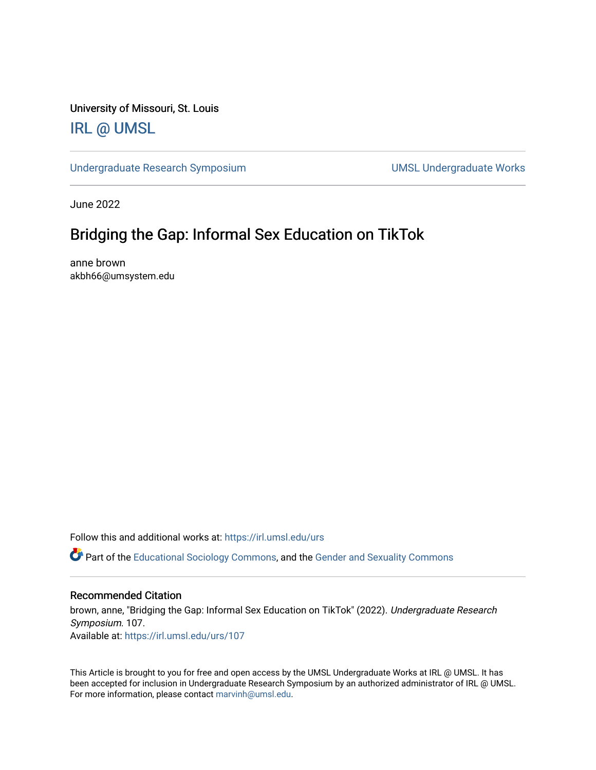University of Missouri, St. Louis [IRL @ UMSL](https://irl.umsl.edu/) 

[Undergraduate Research Symposium](https://irl.umsl.edu/urs) and a state of UMSL Undergraduate Works

June 2022

### Bridging the Gap: Informal Sex Education on TikTok

anne brown akbh66@umsystem.edu

Follow this and additional works at: [https://irl.umsl.edu/urs](https://irl.umsl.edu/urs?utm_source=irl.umsl.edu%2Furs%2F107&utm_medium=PDF&utm_campaign=PDFCoverPages)

Part of the [Educational Sociology Commons,](https://network.bepress.com/hgg/discipline/1071?utm_source=irl.umsl.edu%2Furs%2F107&utm_medium=PDF&utm_campaign=PDFCoverPages) and the [Gender and Sexuality Commons](https://network.bepress.com/hgg/discipline/420?utm_source=irl.umsl.edu%2Furs%2F107&utm_medium=PDF&utm_campaign=PDFCoverPages)

### Recommended Citation

brown, anne, "Bridging the Gap: Informal Sex Education on TikTok" (2022). Undergraduate Research Symposium. 107. Available at: [https://irl.umsl.edu/urs/107](https://irl.umsl.edu/urs/107?utm_source=irl.umsl.edu%2Furs%2F107&utm_medium=PDF&utm_campaign=PDFCoverPages) 

This Article is brought to you for free and open access by the UMSL Undergraduate Works at IRL @ UMSL. It has been accepted for inclusion in Undergraduate Research Symposium by an authorized administrator of IRL @ UMSL. For more information, please contact [marvinh@umsl.edu](mailto:marvinh@umsl.edu).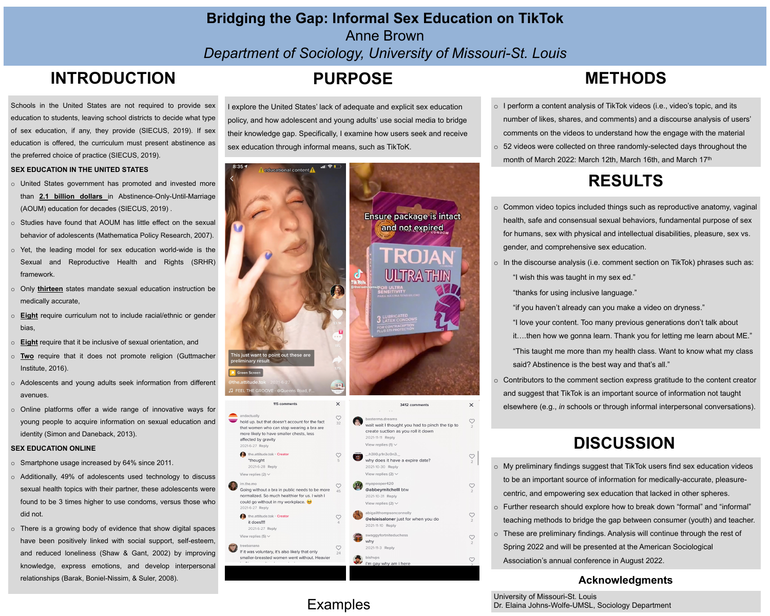# Anne Brown

# **Bridging the Gap: Informal Sex Education on TikTok**  *Department of Sociology, University of Missouri-St. Louis* **INTRODUCTION PURPOSE METHODS**

- o I perform a content analysis of TikTok videos (i.e., video's topic, and its number of likes, shares, and comments) and a discourse analysis of users' comments on the videos to understand how the engage with the material
- o 52 videos were collected on three randomly-selected days throughout the month of March 2022: March 12th, March 16th, and March 17th

# **DISCUSSION**

## **Acknowledgments**

University of Missouri-St. Louis Dr. Elaina Johns-Wolfe-UMSL, Sociology Department





- o My preliminary findings suggest that TikTok users find sex education videos to be an important source of information for medically-accurate, pleasurecentric, and empowering sex education that lacked in other spheres.
- o Further research should explore how to break down "formal" and "informal" teaching methods to bridge the gap between consumer (youth) and teacher.
- o These are preliminary findings. Analysis will continue through the rest of Spring 2022 and will be presented at the American Sociological Association's annual conference in August 2022.

Schools in the United States are not required to provide sex education to students, leaving school districts to decide what type of sex education, if any, they provide (SIECUS, 2019). If sex education is offered, the curriculum must present abstinence as the preferred choice of practice (SIECUS, 2019).

## **SEX EDUCATION IN THE UNITED STATES**

"I love your content. Too many previous generations don't talk about it….then how we gonna learn. Thank you for letting me learn about ME." "This taught me more than my health class. Want to know what my class said? Abstinence is the best way and that's all."

- o United States government has promoted and invested more than **2.1 billion dollars** in Abstinence-Only-Until-Marriage (AOUM) education for decades (SIECUS, 2019) .
- o Studies have found that AOUM has little effect on the sexual behavior of adolescents (Mathematica Policy Research, 2007).
- o Yet, the leading model for sex education world-wide is the Sexual and Reproductive Health and Rights (SRHR) framework.
- o Only **thirteen** states mandate sexual education instruction be medically accurate,
- o **Eight** require curriculum not to include racial/ethnic or gender bias,
- o **Eight** require that it be inclusive of sexual orientation, and
- o **Two** require that it does not promote religion (Guttmacher Institute, 2016).
- o Adolescents and young adults seek information from different avenues.
- o Online platforms offer a wide range of innovative ways for young people to acquire information on sexual education and identity (Simon and Daneback, 2013).

explore the United States' lack of adequate and explicit sex education policy, and how adolescent and young adults' use social media to bridge their knowledge gap. Specifically, I examine how users seek and receive sex education through informal means, such as TikToK.





## **SEX EDUCATION ONLINE**

- o Smartphone usage increased by 64% since 2011.
- o Additionally, 49% of adolescents used technology to discuss sexual health topics with their partner, these adolescents were found to be 3 times higher to use condoms, versus those who did not.
- o There is a growing body of evidence that show digital spaces have been positively linked with social support, self-esteem, and reduced loneliness (Shaw & Gant, 2002) by improving knowledge, express emotions, and develop interpersonal relationships (Barak, Boniel-Nissim, & Suler, 2008).

## Examples

# **RESULTS**

- o Common video topics included things such as reproductive anatomy, vaginal health, safe and consensual sexual behaviors, fundamental purpose of sex for humans, sex with physical and intellectual disabilities, pleasure, sex vs. gender, and comprehensive sex education.
- o In the discourse analysis (i.e. comment section on TikTok) phrases such as: "I wish this was taught in my sex ed."

"thanks for using inclusive language."

"if you haven't already can you make a video on dryness."

o Contributors to the comment section express gratitude to the content creator and suggest that TikTok is an important source of information not taught elsewhere (e.g., *in* schools or through informal interpersonal conversations).